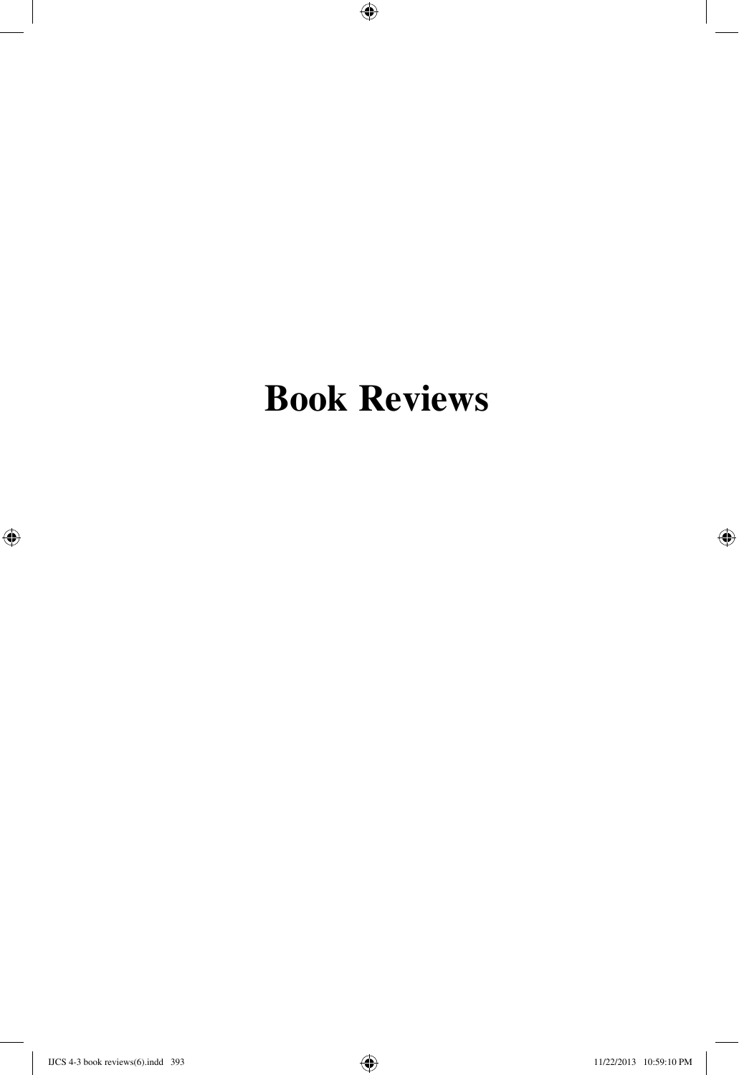## **Book Reviews**

 $\bigoplus$ 

 $\bigoplus$ 

 $\bigoplus$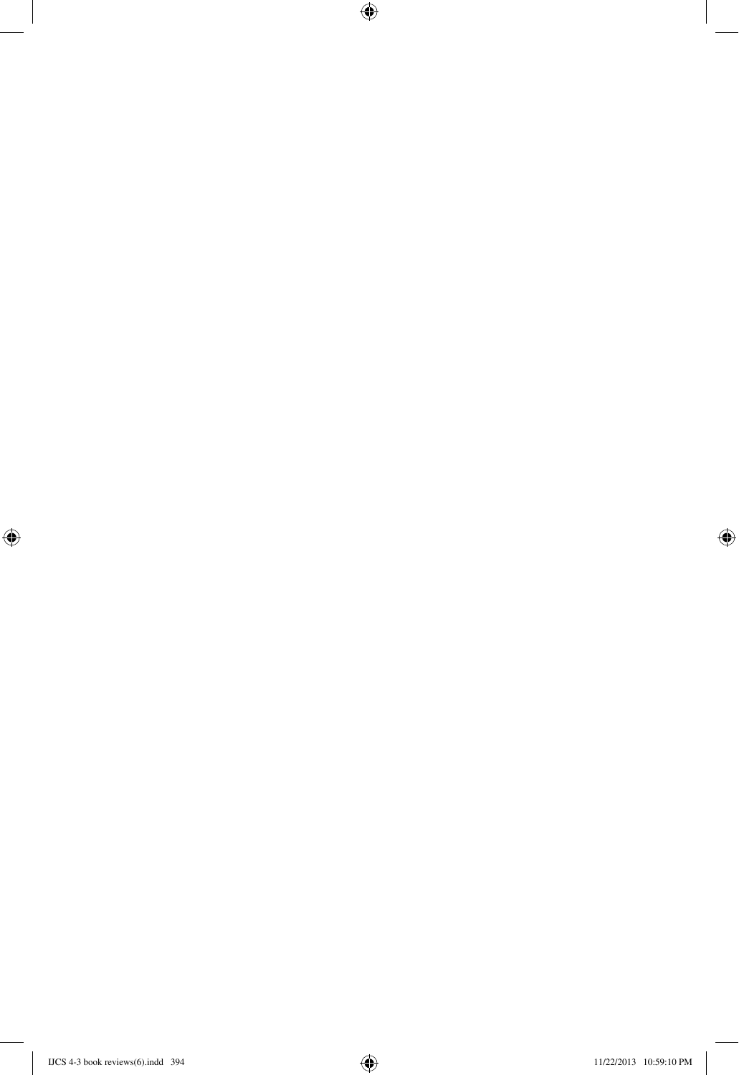

 $\overline{\phantom{a}}$ 

 $\bigoplus$ 

 $\bigoplus$ 

I

 $\bigoplus$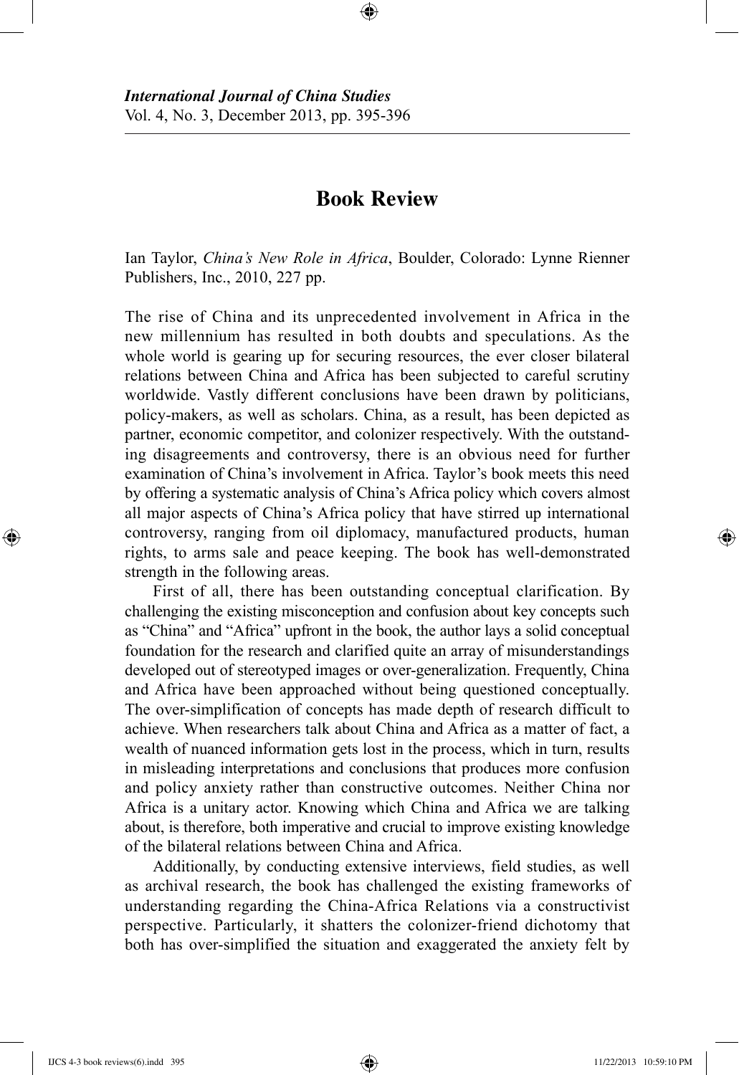## **Book Review**

⊕

Ian Taylor, *China's New Role in Africa*, Boulder, Colorado: Lynne Rienner Publishers, Inc., 2010, 227 pp.

The rise of China and its unprecedented involvement in Africa in the new millennium has resulted in both doubts and speculations. As the whole world is gearing up for securing resources, the ever closer bilateral relations between China and Africa has been subjected to careful scrutiny worldwide. Vastly different conclusions have been drawn by politicians, policy-makers, as well as scholars. China, as a result, has been depicted as partner, economic competitor, and colonizer respectively. With the outstanding disagreements and controversy, there is an obvious need for further examination of China's involvement in Africa. Taylor's book meets this need by offering a systematic analysis of China's Africa policy which covers almost all major aspects of China's Africa policy that have stirred up international controversy, ranging from oil diplomacy, manufactured products, human rights, to arms sale and peace keeping. The book has well-demonstrated strength in the following areas.

First of all, there has been outstanding conceptual clarification. By challenging the existing misconception and confusion about key concepts such as "China" and "Africa" upfront in the book, the author lays a solid conceptual foundation for the research and clarified quite an array of misunderstandings developed out of stereotyped images or over-generalization. Frequently, China and Africa have been approached without being questioned conceptually. The over-simplification of concepts has made depth of research difficult to achieve. When researchers talk about China and Africa as a matter of fact, a wealth of nuanced information gets lost in the process, which in turn, results in misleading interpretations and conclusions that produces more confusion and policy anxiety rather than constructive outcomes. Neither China nor Africa is a unitary actor. Knowing which China and Africa we are talking about, is therefore, both imperative and crucial to improve existing knowledge of the bilateral relations between China and Africa.

Additionally, by conducting extensive interviews, field studies, as well as archival research, the book has challenged the existing frameworks of understanding regarding the China-Africa Relations via a constructivist perspective. Particularly, it shatters the colonizer-friend dichotomy that both has over-simplified the situation and exaggerated the anxiety felt by

⊕

⊕